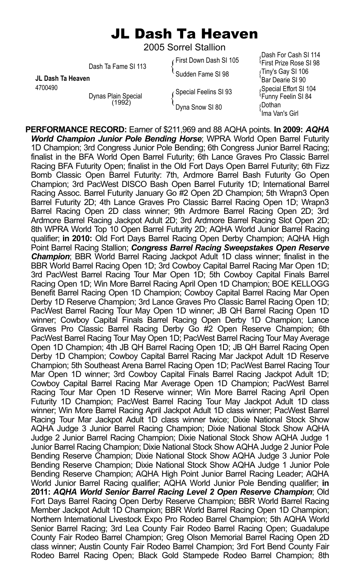## JL Dash Ta Heaven

2005 Sorrel Stallion

|                   | Dash Ta Fame SI 113           | First Down Dash SI 105 | <u> 2001 - 21 Julie 1919</u><br><sup>1</sup> First Prize Rose SI 98 |
|-------------------|-------------------------------|------------------------|---------------------------------------------------------------------|
| JL Dash Ta Heaven |                               | Sudden Fame SI 98      | ∫Tiny's Gay SI 106<br>'Bar Dearie SI 90                             |
| 4700490           | Dynas Plain Special<br>(1992) | Special Feelins SI 93  | Special Effort SI 104<br>'Funny Feelin SI 84                        |
|                   |                               | Dyna Snow SI 80        | Dothan)<br>Ima Van's Girl                                           |

Dash For Cash SI 114 <sup>'</sup>Bar Dearie SI 90 Special Effort SI 104  $\mathrm{F}$ unny Feelin SI 84 Dothan Ima Van's Girl

/ Rodeo Barrel Racing Open; Black Gold Stampede Rodeo Barrel Champion; 8th **PERFORMANCE RECORD:** Earner of \$211,969 and 88 AQHA points. **In 2009:** *AQHA World Champion Junior Pole Bending Horse*; WPRA World Open Barrel Futurity 1D Champion; 3rd Congress Junior Pole Bending; 6th Congress Junior Barrel Racing; finalist in the BFA World Open Barrel Futurity; 6th Lance Graves Pro Classic Barrel Racing BFA Futurity Open; finalist in the Old Fort Days Open Barrel Futurity; 6th Fizz Bomb Classic Open Barrel Futurity: 7th, Ardmore Barrel Bash Futurity Go Open Champion; 3rd PacWest DISCO Bash Open Barrel Futurity 1D; International Barrel Racing Assoc. Barrel Futurity January Go #2 Open 2D Champion; 5th Wrapn3 Open Barrel Futurity 2D; 4th Lance Graves Pro Classic Barrel Racing Open 1D; Wrapn3 Barrel Racing Open 2D class winner; 9th Ardmore Barrel Racing Open 2D; 3rd Ardmore Barrel Racing Jackpot Adult 2D; 3rd Ardmore Barrel Racing Slot Open 2D; 8th WPRA World Top 10 Open Barrel Futurity 2D; AQHA World Junior Barrel Racing qualifier; **in 2010:** Old Fort Days Barrel Racing Open Derby Champion; AQHA High Point Barrel Racing Stallion; *Congress Barrel Racing Sweepstakes Open Reserve Champion*; BBR World Barrel Racing Jackpot Adult 1D class winner; finalist in the BBR World Barrel Racing Open 1D; 3rd Cowboy Capital Barrel Racing Mar Open 1D; 3rd PacWest Barrel Racing Tour Mar Open 1D; 5th Cowboy Capital Finals Barrel Racing Open 1D; Win More Barrel Racing April Open 1D Champion; BOE KELLOGG Benefit Barrel Racing Open 1D Champion; Cowboy Capital Barrel Racing Mar Open Derby 1D Reserve Champion; 3rd Lance Graves Pro Classic Barrel Racing Open 1D; PacWest Barrel Racing Tour May Open 1D winner; JB QH Barrel Racing Open 1D winner; Cowboy Capital Finals Barrel Racing Open Derby 1D Champion; Lance Graves Pro Classic Barrel Racing Derby Go #2 Open Reserve Champion; 6th PacWest Barrel Racing Tour May Open 1D; PacWest Barrel Racing Tour May Average Open 1D Champion; 4th JB QH Barrel Racing Open 1D; JB QH Barrel Racing Open Derby 1D Champion; Cowboy Capital Barrel Racing Mar Jackpot Adult 1D Reserve Champion; 5th Southeast Arena Barrel Racing Open 1D; PacWest Barrel Racing Tour Mar Open 1D winner; 3rd Cowboy Capital Finals Barrel Racing Jackpot Adult 1D; Cowboy Capital Barrel Racing Mar Average Open 1D Champion; PacWest Barrel Racing Tour Mar Open 1D Reserve winner; Win More Barrel Racing April Open Futurity 1D Champion; PacWest Barrel Racing Tour May Jackpot Adult 1D class winner; Win More Barrel Racing April Jackpot Adult 1D class winner; PacWest Barrel Racing Tour Mar Jackpot Adult 1D class winner twice; Dixie National Stock Show AQHA Judge 3 Junior Barrel Racing Champion; Dixie National Stock Show AQHA Judge 2 Junior Barrel Racing Champion; Dixie National Stock Show AQHA Judge 1 Junior Barrel Racing Champion; Dixie National Stock Show AQHA Judge 2 Junior Pole Bending Reserve Champion; Dixie National Stock Show AQHA Judge 3 Junior Pole Bending Reserve Champion; Dixie National Stock Show AQHA Judge 1 Junior Pole Bending Reserve Champion; AQHA High Point Junior Barrel Racing Leader; AQHA World Junior Barrel Racing qualifier; AQHA World Junior Pole Bending qualifier; **in 2011:** *AQHA World Senior Barrel Racing Level 2 Open Reserve Champion*; Old Fort Days Barrel Racing Open Derby Reserve Champion; BBR World Barrel Racing Member Jackpot Adult 1D Champion; BBR World Barrel Racing Open 1D Champion; Northern International Livestock Expo Pro Rodeo Barrel Champion; 5th AQHA World Senior Barrel Racing; 3rd Lea County Fair Rodeo Barrel Racing Open; Guadalupe County Fair Rodeo Barrel Champion; Greg Olson Memorial Barrel Racing Open 2D class winner; Austin County Fair Rodeo Barrel Champion; 3rd Fort Bend County Fair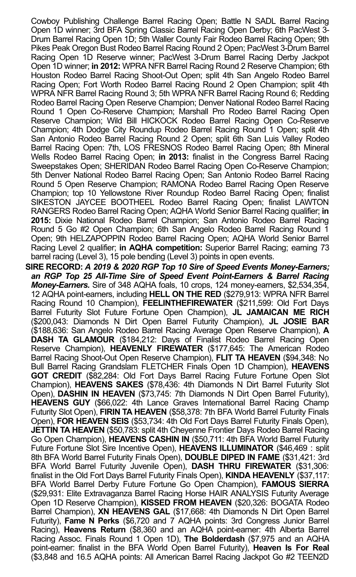Cowboy Publishing Challenge Barrel Racing Open; Battle N SADL Barrel Racing Open 1D winner; 3rd BFA Spring Classic Barrel Racing Open Derby; 6th PacWest 3- Drum Barrel Racing Open 1D; 5th Waller County Fair Rodeo Barrel Racing Open; 9th Pikes Peak Oregon Bust Rodeo Barrel Racing Round 2 Open; PacWest 3-Drum Barrel Racing Open 1D Reserve winner; PacWest 3-Drum Barrel Racing Derby Jackpot Open 1D winner; **in 2012:** WPRA NFR Barrel Racing Round 2 Reserve Champion; 6th Houston Rodeo Barrel Racing Shoot-Out Open; split 4th San Angelo Rodeo Barrel Racing Open; Fort Worth Rodeo Barrel Racing Round 2 Open Champion; split 4th WPRA NFR Barrel Racing Round 3; 5th WPRA NFR Barrel Racing Round 6; Redding Rodeo Barrel Racing Open Reserve Champion; Denver National Rodeo Barrel Racing Round 1 Open Co-Reserve Champion; Marshall Pro Rodeo Barrel Racing Open Reserve Champion; Wild Bill HICKOCK Rodeo Barrel Racing Open Co-Reserve Champion; 4th Dodge City Roundup Rodeo Barrel Racing Round 1 Open; split 4th San Antonio Rodeo Barrel Racing Round 2 Open; split 6th San Luis Valley Rodeo Barrel Racing Open: 7th, LOS FRESNOS Rodeo Barrel Racing Open; 8th Mineral Wells Rodeo Barrel Racing Open; **in 2013:** finalist in the Congress Barrel Racing Sweepstakes Open; SHERIDAN Rodeo Barrel Racing Open Co-Reserve Champion; 5th Denver National Rodeo Barrel Racing Open; San Antonio Rodeo Barrel Racing Round 5 Open Reserve Champion; RAMONA Rodeo Barrel Racing Open Reserve Champion; top 10 Yellowstone River Roundup Rodeo Barrel Racing Open; finalist SIKESTON JAYCEE BOOTHEEL Rodeo Barrel Racing Open; finalist LAWTON RANGERS Rodeo Barrel Racing Open; AQHA World Senior Barrel Racing qualifier; **in 2015:** Dixie National Rodeo Barrel Champion; San Antonio Rodeo Barrel Racing Round 5 Go #2 Open Champion; 6th San Angelo Rodeo Barrel Racing Round 1 Open; 9th HELZAPOPPIN Rodeo Barrel Racing Open; AQHA World Senior Barrel Racing Level 2 qualifier; **in AQHA competition:** Superior Barrel Racing; earning 73 barrel racing (Level 3), 15 pole bending (Level 3) points in open events.

/ (\$3,848 and 16.5 AQHA points: All American Barrel Racing Jackpot Go #2 TEEN2D**SIRE RECORD:** *A 2019 & 2020 RGP Top 10 Sire of Speed Events Money-Earners; an RGP Top 25 All-Time Sire of Speed Event Point-Earners & Barrel Racing Money-Earners.* Sire of 348 AQHA foals, 10 crops, 124 money-earners, \$2,534,354, 12 AQHA point-earners, including **HELL ON THE RED** (\$279,913: WPRA NFR Barrel Racing Round 10 Champion), **FEELINTHEFIREWATER** (\$211,599: Old Fort Days Barrel Futurity Slot Future Fortune Open Champion), **JL JAMAICAN ME RICH** (\$200,043: Diamonds N Dirt Open Barrel Futurity Champion), **JL JOSIE BAR** (\$188,636: San Angelo Rodeo Barrel Racing Average Open Reserve Champion), **A DASH TA GLAMOUR** (\$184,212: Days of Finalist Rodeo Barrel Racing Open Reserve Champion), **HEAVENLY FIREWATER** (\$177,645: The American Rodeo Barrel Racing Shoot-Out Open Reserve Champion), **FLIT TA HEAVEN** (\$94,348: No Bull Barrel Racing Grandslam FLETCHER Finals Open 1D Champion), **HEAVENS GOT CREDIT** (\$82,284: Old Fort Days Barrel Racing Future Fortune Open Slot Champion), **HEAVENS SAKES** (\$78,436: 4th Diamonds N Dirt Barrel Futurity Slot Open), **DASHIN IN HEAVEN** (\$73,745: 7th Diamonds N Dirt Open Barrel Futurity), **HEAVENS GUY** (\$66,022: 4th Lance Graves International Barrel Racing Champ Futurity Slot Open), **FIRIN TA HEAVEN** (\$58,378: 7th BFA World Barrel Futurity Finals Open), **FOR HEAVEN SEIS** (\$53,734: 4th Old Fort Days Barrel Futurity Finals Open), **JETTIN TA HEAVEN** (\$50,783: split 4th Cheyenne Frontier Days Rodeo Barrel Racing Go Open Champion), **HEAVENS CASHIN IN** (\$50,711: 4th BFA World Barrel Futurity Future Fortune Slot Sire Incentive Open), **HEAVENS ILLUMINATOR** (\$46,469 : split 8th BFA World Barrel Futurity Finals Open), **DOUBLE DIPED IN FAME** (\$31,421: 3rd BFA World Barrel Futurity Juvenile Open), **DASH THRU FIREWATER** (\$31,306: finalist in the Old Fort Days Barrel Futurity Finals Open), **KINDA HEAVENLY** (\$37,117: BFA World Barrel Derby Future Fortune Go Open Champion), **FAMOUS SIERRA** (\$29,931: Elite Extravaganza Barrel Racing Horse HAIR ANALYSIS Futurity Average Open 1D Reserve Champion), **KISSED FROM HEAVEN** (\$20,326: BOGATA Rodeo Barrel Champion), **XN HEAVENS GAL** (\$17,668: 4th Diamonds N Dirt Open Barrel Futurity), **Fame N Perks** (\$6,720 and 7 AQHA points: 3rd Congress Junior Barrel Racing), **Heavens Return** (\$8,360 and an AQHA point-earner: 4th Alberta Barrel Racing Assoc. Finals Round 1 Open 1D), **The Bolderdash** (\$7,975 and an AQHA point-earner: finalist in the BFA World Open Barrel Futurity), **Heaven Is For Real**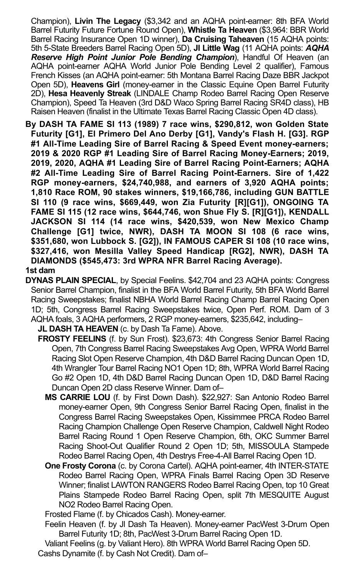Champion), **Livin The Legacy** (\$3,342 and an AQHA point-earner: 8th BFA World Barrel Futurity Future Fortune Round Open), **Whistle Ta Heaven** (\$3,964: BBR World Barrel Racing Insurance Open 1D winner), **Da Cruising Taheaven** (15 AQHA points: 5th 5-State Breeders Barrel Racing Open 5D), **Jl Little Wag** (11 AQHA points: *AQHA Reserve High Point Junior Pole Bending Champion*), Handful Of Heaven (an AQHA point-earner AQHA World Junior Pole Bending Level 2 qualifier), Famous French Kisses (an AQHA point-earner: 5th Montana Barrel Racing Daze BBR Jackpot Open 5D), **Heavens Girl** (money-earner in the Classic Equine Open Barrel Futurity 2D), **Hesa Heavenly Streak** (LINDALE Champ Rodeo Barrel Racing Open Reserve Champion), Speed Ta Heaven (3rd D&D Waco Spring Barrel Racing SR4D class), HB Raisen Heaven (finalist in the Ultimate Texas Barrel Racing Classic Open 4D class).

**By DASH TA FAME SI 113 (1989) 7 race wins, \$290,812, won Golden State Futurity [G1], El Primero Del Ano Derby [G1], Vandy's Flash H. [G3]. RGP #1 All-Time Leading Sire of Barrel Racing & Speed Event money-earners; 2019 & 2020 RGP #1 Leading Sire of Barrel Racing Money-Earners; 2019, 2019, 2020, AQHA #1 Leading Sire of Barrel Racing Point-Earners; AQHA #2 All-Time Leading Sire of Barrel Racing Point-Earners. Sire of 1,422 RGP money-earners, \$24,740,988, and earners of 3,920 AQHA points; 1,810 Race ROM, 90 stakes winners, \$19,166,786, including GUN BATTLE SI 110 (9 race wins, \$669,449, won Zia Futurity [R][G1]), ONGOING TA FAME SI 115 (12 race wins, \$644,746, won Shue Fly S. [R][G1]), KENDALL JACKSON SI 114 (14 race wins, \$420,539, won New Mexico Champ Challenge [G1] twice, NWR), DASH TA MOON SI 108 (6 race wins, \$351,680, won Lubbock S. [G2]), IN FAMOUS CAPER SI 108 (10 race wins, \$327,416, won Mesilla Valley Speed Handicap [RG2], NWR), DASH TA DIAMONDS (\$545,473: 3rd WPRA NFR Barrel Racing Average).**

## **1st dam**

**DYNAS PLAIN SPECIAL**, by Special Feelins. \$42,704 and 23 AQHA points: Congress Senior Barrel Champion, finalist in the BFA World Barrel Futurity, 5th BFA World Barrel Racing Sweepstakes; finalist NBHA World Barrel Racing Champ Barrel Racing Open 1D; 5th, Congress Barrel Racing Sweepstakes twice, Open Perf. ROM. Dam of 3 AQHA foals, 3 AQHA performers, 2 RGP money-earners, \$235,642, including–

**JL DASH TA HEAVEN** (c. by Dash Ta Fame). Above.

- **FROSTY FEELINS** (f. by Sun Frost). \$23,673: 4th Congress Senior Barrel Racing Open, 7th Congress Barrel Racing Sweepstakes Avg Open, WPRA World Barrel Racing Slot Open Reserve Champion, 4th D&D Barrel Racing Duncan Open 1D, 4th Wrangler Tour Barrel Racing NO1 Open 1D; 8th, WPRA World Barrel Racing Go #2 Open 1D, 4th D&D Barrel Racing Duncan Open 1D, D&D Barrel Racing Duncan Open 2D class Reserve Winner. Dam of–
	- **MS CARRIE LOU** (f. by First Down Dash). \$22,927: San Antonio Rodeo Barrel money-earner Open, 9th Congress Senior Barrel Racing Open, finalist in the Congress Barrel Racing Sweepstakes Open, Kissimmee PRCA Rodeo Barrel Racing Champion Challenge Open Reserve Champion, Caldwell Night Rodeo Barrel Racing Round 1 Open Reserve Champion, 6th, OKC Summer Barrel Racing Shoot-Out Qualifier Round 2 Open 1D; 5th, MISSOULA Stampede Rodeo Barrel Racing Open, 4th Destrys Free-4-All Barrel Racing Open 1D.
	- **One Frosty Corona** (c. by Corona Cartel). AQHA point-earner, 4th INTER-STATE Rodeo Barrel Racing Open, WPRA Finals Barrel Racing Open 3D Reserve Winner; finalist LAWTON RANGERS Rodeo Barrel Racing Open, top 10 Great Plains Stampede Rodeo Barrel Racing Open, split 7th MESQUITE August NO2 Rodeo Barrel Racing Open.

Frosted Flame (f. by Chicados Cash). Money-earner.

Feelin Heaven (f. by Jl Dash Ta Heaven). Money-earner PacWest 3-Drum Open Barrel Futurity 1D; 8th, PacWest 3-Drum Barrel Racing Open 1D.

Valiant Feelins (g. by Valiant Hero). 8th WPRA World Barrel Racing Open 5D.

Cashs Dynamite (f. by Cash Not Credit). Dam of–